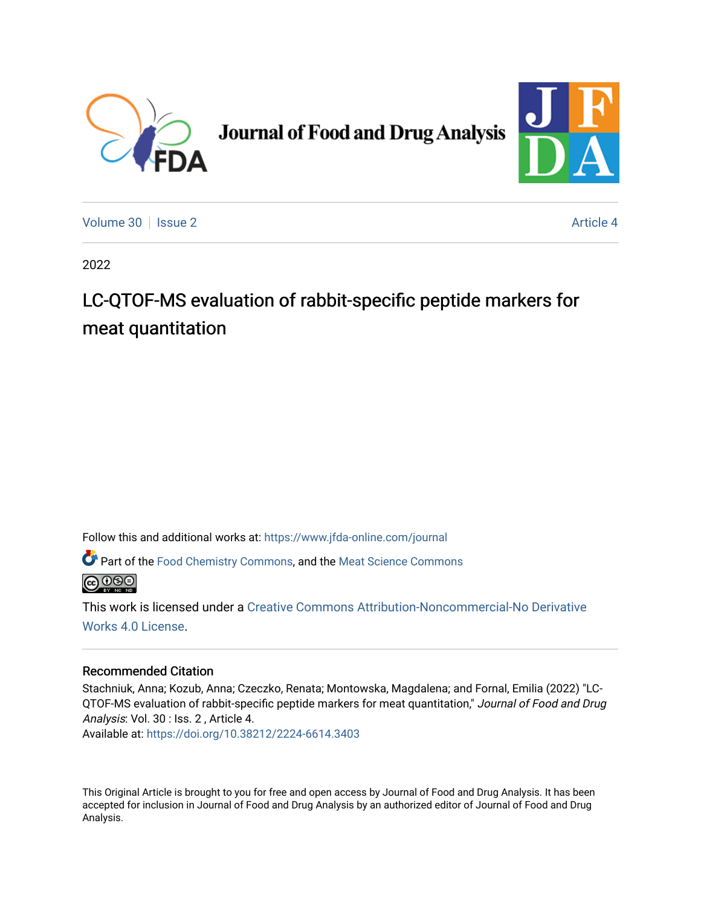

# **Journal of Food and Drug Analysis**



[Volume 30](https://www.jfda-online.com/journal/vol30) | [Issue 2](https://www.jfda-online.com/journal/vol30/iss2) Article 4

2022

# LC-QTOF-MS evaluation of rabbit-specific peptide markers for meat quantitation

Follow this and additional works at: [https://www.jfda-online.com/journal](https://www.jfda-online.com/journal?utm_source=www.jfda-online.com%2Fjournal%2Fvol30%2Fiss2%2F4&utm_medium=PDF&utm_campaign=PDFCoverPages)

Part of the [Food Chemistry Commons,](https://network.bepress.com/hgg/discipline/87?utm_source=www.jfda-online.com%2Fjournal%2Fvol30%2Fiss2%2F4&utm_medium=PDF&utm_campaign=PDFCoverPages) and the [Meat Science Commons](https://network.bepress.com/hgg/discipline/1301?utm_source=www.jfda-online.com%2Fjournal%2Fvol30%2Fiss2%2F4&utm_medium=PDF&utm_campaign=PDFCoverPages) 



This work is licensed under a [Creative Commons Attribution-Noncommercial-No Derivative](https://creativecommons.org/licenses/by-nc-nd/4.0/)  [Works 4.0 License](https://creativecommons.org/licenses/by-nc-nd/4.0/).

# Recommended Citation

Stachniuk, Anna; Kozub, Anna; Czeczko, Renata; Montowska, Magdalena; and Fornal, Emilia (2022) "LC-QTOF-MS evaluation of rabbit-specific peptide markers for meat quantitation," Journal of Food and Drug Analysis: Vol. 30 : Iss. 2 , Article 4. Available at:<https://doi.org/10.38212/2224-6614.3403>

This Original Article is brought to you for free and open access by Journal of Food and Drug Analysis. It has been accepted for inclusion in Journal of Food and Drug Analysis by an authorized editor of Journal of Food and Drug Analysis.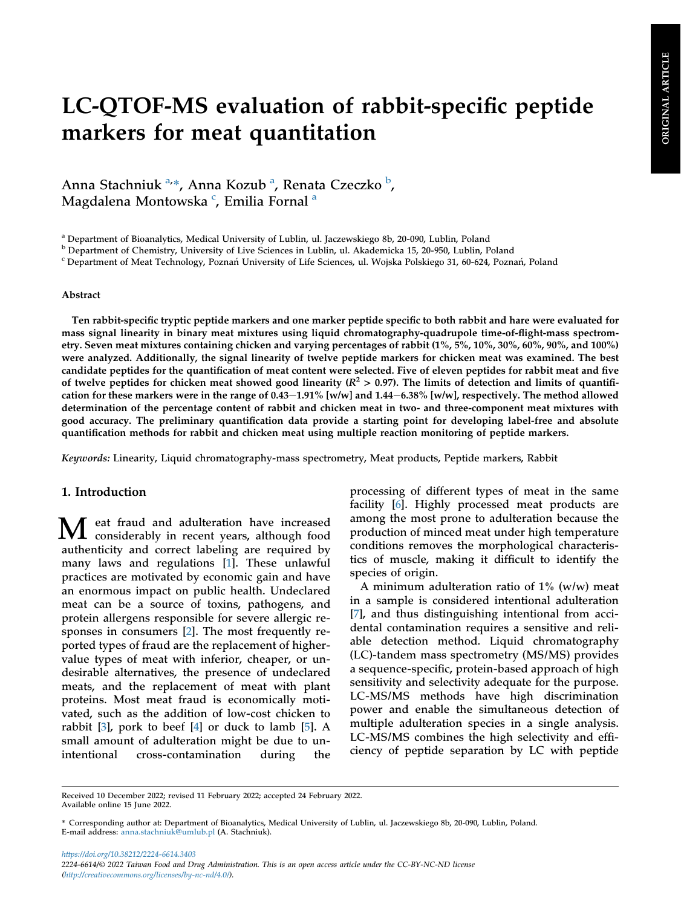# LC-QTOF-MS evaluation of rabbit-specific peptide markers for meat quantitation

Ann[a](#page-1-0) Stachniuk <sup>a,</sup>\*, Anna Kozu[b](#page-1-1) <sup>a</sup>, Renata Czeczko <sup>b</sup>, Magdalena Montowska <sup>[c](#page-1-2)</sup>, Emili[a](#page-1-0) Fornal <sup>a</sup>

<span id="page-1-0"></span><sup>a</sup> Department of Bioanalytics, Medical University of Lublin, ul. Jaczewskiego 8b, 20-090, Lublin, Poland

<span id="page-1-1"></span><sup>b</sup> Department of Chemistry, University of Live Sciences in Lublin, ul. Akademicka 15, 20-950, Lublin, Poland

<span id="page-1-2"></span><sup>c</sup> Department of Meat Technology, Poznań University of Life Sciences, ul. Wojska Polskiego 31, 60-624, Poznań, Poland

#### Abstract

Ten rabbit-specific tryptic peptide markers and one marker peptide specific to both rabbit and hare were evaluated for mass signal linearity in binary meat mixtures using liquid chromatography-quadrupole time-of-flight-mass spectrometry. Seven meat mixtures containing chicken and varying percentages of rabbit (1%, 5%, 10%, 30%, 60%, 90%, and 100%) were analyzed. Additionally, the signal linearity of twelve peptide markers for chicken meat was examined. The best candidate peptides for the quantification of meat content were selected. Five of eleven peptides for rabbit meat and five of twelve peptides for chicken meat showed good linearity  $(R^2 > 0.97)$ . The limits of detection and limits of quantification for these markers were in the range of 0.43–1.91% [w/w] and  $1.44-6.38\%$  [w/w], respectively. The method allowed determination of the percentage content of rabbit and chicken meat in two- and three-component meat mixtures with good accuracy. The preliminary quantification data provide a starting point for developing label-free and absolute quantification methods for rabbit and chicken meat using multiple reaction monitoring of peptide markers.

Keywords: Linearity, Liquid chromatography-mass spectrometry, Meat products, Peptide markers, Rabbit

# 1. Introduction

M eat fraud and adulteration have increased considerably in recent years, although food authenticity and correct labeling are required by many laws and regulations [[1\]](#page-10-0). These unlawful practices are motivated by economic gain and have an enormous impact on public health. Undeclared meat can be a source of toxins, pathogens, and protein allergens responsible for severe allergic responses in consumers [[2\]](#page-10-1). The most frequently reported types of fraud are the replacement of highervalue types of meat with inferior, cheaper, or undesirable alternatives, the presence of undeclared meats, and the replacement of meat with plant proteins. Most meat fraud is economically motivated, such as the addition of low-cost chicken to rabbit [\[3](#page-10-2)], pork to beef [\[4](#page-10-3)] or duck to lamb [\[5](#page-10-4)]. A small amount of adulteration might be due to unintentional cross-contamination during the

processing of different types of meat in the same facility [[6\]](#page-10-5). Highly processed meat products are among the most prone to adulteration because the production of minced meat under high temperature conditions removes the morphological characteristics of muscle, making it difficult to identify the species of origin.

A minimum adulteration ratio of  $1\%$  (w/w) meat in a sample is considered intentional adulteration [\[7](#page-10-6)], and thus distinguishing intentional from accidental contamination requires a sensitive and reliable detection method. Liquid chromatography (LC)-tandem mass spectrometry (MS/MS) provides a sequence-specific, protein-based approach of high sensitivity and selectivity adequate for the purpose. LC-MS/MS methods have high discrimination power and enable the simultaneous detection of multiple adulteration species in a single analysis. LC-MS/MS combines the high selectivity and efficiency of peptide separation by LC with peptide

<https://doi.org/10.38212/2224-6614.3403> 2224-6614/© 2022 Taiwan Food and Drug Administration. This is an open access article under the CC-BY-NC-ND license [\(http://creativecommons.org/licenses/by-nc-nd/4.0/\)](http://creativecommons.org/licenses/by-nc-nd/4.0/).

Received 10 December 2022; revised 11 February 2022; accepted 24 February 2022. Available online 15 June 2022.

<sup>\*</sup> Corresponding author at: Department of Bioanalytics, Medical University of Lublin, ul. Jaczewskiego 8b, 20-090, Lublin, Poland. E-mail address: [anna.stachniuk@umlub.pl](mailto:anna.stachniuk@umlub.pl) (A. Stachniuk).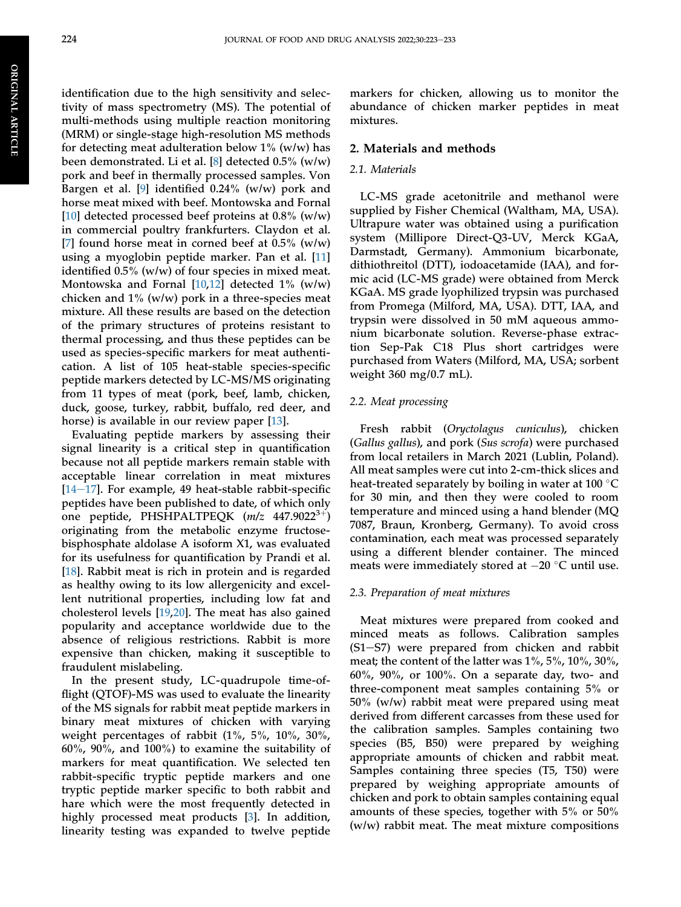identification due to the high sensitivity and selectivity of mass spectrometry (MS). The potential of multi-methods using multiple reaction monitoring (MRM) or single-stage high-resolution MS methods for detecting meat adulteration below  $1\%$  (w/w) has been demonstrated. Li et al. [[8\]](#page-10-7) detected 0.5% (w/w) pork and beef in thermally processed samples. Von Bargen et al. [[9\]](#page-10-8) identified 0.24% (w/w) pork and horse meat mixed with beef. Montowska and Fornal [\[10](#page-10-9)] detected processed beef proteins at  $0.8\%$  (w/w) in commercial poultry frankfurters. Claydon et al. [\[7](#page-10-6)] found horse meat in corned beef at  $0.5\%$  (w/w) using a myoglobin peptide marker. Pan et al. [[11\]](#page-10-10) identified 0.5% (w/w) of four species in mixed meat. Montowska and Fornal [[10,](#page-10-9)[12](#page-10-11)] detected 1% (w/w) chicken and  $1\%$  (w/w) pork in a three-species meat mixture. All these results are based on the detection of the primary structures of proteins resistant to thermal processing, and thus these peptides can be used as species-specific markers for meat authentication. A list of 105 heat-stable species-specific peptide markers detected by LC-MS/MS originating from 11 types of meat (pork, beef, lamb, chicken, duck, goose, turkey, rabbit, buffalo, red deer, and horse) is available in our review paper [\[13](#page-10-12)].

Evaluating peptide markers by assessing their signal linearity is a critical step in quantification because not all peptide markers remain stable with acceptable linear correlation in meat mixtures  $[14-17]$  $[14-17]$  $[14-17]$ . For example, 49 heat-stable rabbit-specific peptides have been published to date, of which only one peptide, PHSHPALTPEQK  $(m/z \ 447.9022^{3+})$ originating from the metabolic enzyme fructosebisphosphate aldolase A isoform X1, was evaluated for its usefulness for quantification by Prandi et al. [\[18](#page-11-0)]. Rabbit meat is rich in protein and is regarded as healthy owing to its low allergenicity and excellent nutritional properties, including low fat and cholesterol levels [\[19](#page-11-1),[20\]](#page-11-2). The meat has also gained popularity and acceptance worldwide due to the absence of religious restrictions. Rabbit is more expensive than chicken, making it susceptible to fraudulent mislabeling.

In the present study, LC-quadrupole time-offlight (QTOF)-MS was used to evaluate the linearity of the MS signals for rabbit meat peptide markers in binary meat mixtures of chicken with varying weight percentages of rabbit (1%, 5%, 10%, 30%, 60%, 90%, and 100%) to examine the suitability of markers for meat quantification. We selected ten rabbit-specific tryptic peptide markers and one tryptic peptide marker specific to both rabbit and hare which were the most frequently detected in highly processed meat products [[3\]](#page-10-2). In addition, linearity testing was expanded to twelve peptide

markers for chicken, allowing us to monitor the abundance of chicken marker peptides in meat mixtures.

#### 2. Materials and methods

#### 2.1. Materials

LC-MS grade acetonitrile and methanol were supplied by Fisher Chemical (Waltham, MA, USA). Ultrapure water was obtained using a purification system (Millipore Direct-Q3-UV, Merck KGaA, Darmstadt, Germany). Ammonium bicarbonate, dithiothreitol (DTT), iodoacetamide (IAA), and formic acid (LC-MS grade) were obtained from Merck KGaA. MS grade lyophilized trypsin was purchased from Promega (Milford, MA, USA). DTT, IAA, and trypsin were dissolved in 50 mM aqueous ammonium bicarbonate solution. Reverse-phase extraction Sep-Pak C18 Plus short cartridges were purchased from Waters (Milford, MA, USA; sorbent weight 360 mg/0.7 mL).

#### 2.2. Meat processing

Fresh rabbit (Oryctolagus cuniculus), chicken (Gallus gallus), and pork (Sus scrofa) were purchased from local retailers in March 2021 (Lublin, Poland). All meat samples were cut into 2-cm-thick slices and heat-treated separately by boiling in water at 100  $^\circ\mathrm{C}$ for 30 min, and then they were cooled to room temperature and minced using a hand blender (MQ 7087, Braun, Kronberg, Germany). To avoid cross contamination, each meat was processed separately using a different blender container. The minced meats were immediately stored at  $-20$  °C until use.

#### 2.3. Preparation of meat mixtures

Meat mixtures were prepared from cooked and minced meats as follows. Calibration samples  $(S1–S7)$  were prepared from chicken and rabbit meat; the content of the latter was 1%, 5%, 10%, 30%, 60%, 90%, or 100%. On a separate day, two- and three-component meat samples containing 5% or 50% (w/w) rabbit meat were prepared using meat derived from different carcasses from these used for the calibration samples. Samples containing two species (B5, B50) were prepared by weighing appropriate amounts of chicken and rabbit meat. Samples containing three species (T5, T50) were prepared by weighing appropriate amounts of chicken and pork to obtain samples containing equal amounts of these species, together with 5% or 50% (w/w) rabbit meat. The meat mixture compositions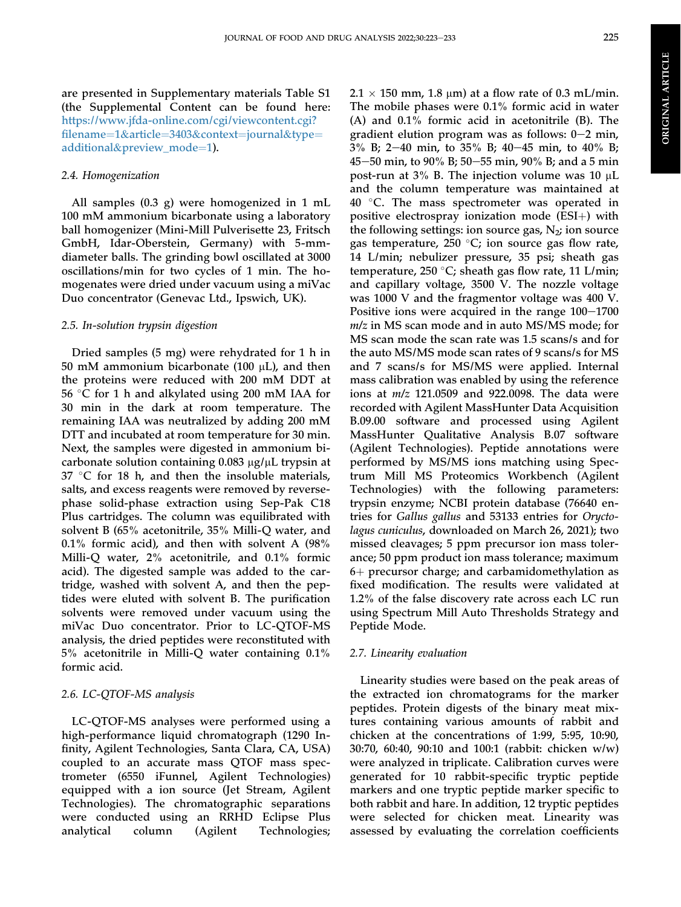are presented in Supplementary materials Table S1 (the Supplemental Content can be found here: [https://www.jfda-online.com/cgi/viewcontent.cgi?](https://www.jfda-online.com/cgi/viewcontent.cgi?filename=1&article=3403&context=journal&type=additional&preview_mode=1) fi[lename](https://www.jfda-online.com/cgi/viewcontent.cgi?filename=1&article=3403&context=journal&type=additional&preview_mode=1)=[1](https://www.jfda-online.com/cgi/viewcontent.cgi?filename=1&article=3403&context=journal&type=additional&preview_mode=1)&[article](https://www.jfda-online.com/cgi/viewcontent.cgi?filename=1&article=3403&context=journal&type=additional&preview_mode=1)=[3403](https://www.jfda-online.com/cgi/viewcontent.cgi?filename=1&article=3403&context=journal&type=additional&preview_mode=1)&[context](https://www.jfda-online.com/cgi/viewcontent.cgi?filename=1&article=3403&context=journal&type=additional&preview_mode=1)=[journal](https://www.jfda-online.com/cgi/viewcontent.cgi?filename=1&article=3403&context=journal&type=additional&preview_mode=1)&[type](https://www.jfda-online.com/cgi/viewcontent.cgi?filename=1&article=3403&context=journal&type=additional&preview_mode=1)= [additional](https://www.jfda-online.com/cgi/viewcontent.cgi?filename=1&article=3403&context=journal&type=additional&preview_mode=1)&[preview\\_mode](https://www.jfda-online.com/cgi/viewcontent.cgi?filename=1&article=3403&context=journal&type=additional&preview_mode=1)=[1\)](https://www.jfda-online.com/cgi/viewcontent.cgi?filename=1&article=3403&context=journal&type=additional&preview_mode=1).

## 2.4. Homogenization

All samples (0.3 g) were homogenized in 1 mL 100 mM ammonium bicarbonate using a laboratory ball homogenizer (Mini-Mill Pulverisette 23, Fritsch GmbH, Idar-Oberstein, Germany) with 5-mmdiameter balls. The grinding bowl oscillated at 3000 oscillations/min for two cycles of 1 min. The homogenates were dried under vacuum using a miVac Duo concentrator (Genevac Ltd., Ipswich, UK).

### 2.5. In-solution trypsin digestion

Dried samples (5 mg) were rehydrated for 1 h in 50 mM ammonium bicarbonate (100  $\mu$ L), and then the proteins were reduced with 200 mM DDT at 56 -C for 1 h and alkylated using 200 mM IAA for 30 min in the dark at room temperature. The remaining IAA was neutralized by adding 200 mM DTT and incubated at room temperature for 30 min. Next, the samples were digested in ammonium bicarbonate solution containing  $0.083 \mu g/\mu L$  trypsin at 37  $\,^{\circ}$ C for 18 h, and then the insoluble materials, salts, and excess reagents were removed by reversephase solid-phase extraction using Sep-Pak C18 Plus cartridges. The column was equilibrated with solvent B (65% acetonitrile, 35% Milli-Q water, and 0.1% formic acid), and then with solvent A (98% Milli-Q water, 2% acetonitrile, and 0.1% formic acid). The digested sample was added to the cartridge, washed with solvent A, and then the peptides were eluted with solvent B. The purification solvents were removed under vacuum using the miVac Duo concentrator. Prior to LC-QTOF-MS analysis, the dried peptides were reconstituted with 5% acetonitrile in Milli-Q water containing 0.1% formic acid.

# 2.6. LC-QTOF-MS analysis

LC-QTOF-MS analyses were performed using a high-performance liquid chromatograph (1290 Infinity, Agilent Technologies, Santa Clara, CA, USA) coupled to an accurate mass QTOF mass spectrometer (6550 iFunnel, Agilent Technologies) equipped with a ion source (Jet Stream, Agilent Technologies). The chromatographic separations were conducted using an RRHD Eclipse Plus analytical column (Agilent Technologies;  $2.1 \times 150$  mm, 1.8 µm) at a flow rate of 0.3 mL/min. The mobile phases were 0.1% formic acid in water (A) and 0.1% formic acid in acetonitrile (B). The gradient elution program was as follows:  $0-2$  min, 3% B; 2-40 min, to 35% B; 40-45 min, to 40% B; 45–50 min, to 90% B; 50–55 min, 90% B; and a 5 min post-run at 3% B. The injection volume was 10 mL and the column temperature was maintained at  $40\,$   $^\circ$ C. The mass spectrometer was operated in positive electrospray ionization mode  $(ESI+)$  with the following settings: ion source gas,  $N_2$ ; ion source gas temperature,  $250$  °C; ion source gas flow rate, 14 L/min; nebulizer pressure, 35 psi; sheath gas temperature, 250 °C; sheath gas flow rate, 11 L/min; and capillary voltage, 3500 V. The nozzle voltage was 1000 V and the fragmentor voltage was 400 V. Positive ions were acquired in the range  $100-1700$ m/z in MS scan mode and in auto MS/MS mode; for MS scan mode the scan rate was 1.5 scans/s and for the auto MS/MS mode scan rates of 9 scans/s for MS and 7 scans/s for MS/MS were applied. Internal mass calibration was enabled by using the reference ions at m/z 121.0509 and 922.0098. The data were recorded with Agilent MassHunter Data Acquisition B.09.00 software and processed using Agilent MassHunter Qualitative Analysis B.07 software (Agilent Technologies). Peptide annotations were performed by MS/MS ions matching using Spectrum Mill MS Proteomics Workbench (Agilent Technologies) with the following parameters: trypsin enzyme; NCBI protein database (76640 entries for Gallus gallus and 53133 entries for Oryctolagus cuniculus, downloaded on March 26, 2021); two missed cleavages; 5 ppm precursor ion mass tolerance; 50 ppm product ion mass tolerance; maximum  $6+$  precursor charge; and carbamidomethylation as fixed modification. The results were validated at 1.2% of the false discovery rate across each LC run using Spectrum Mill Auto Thresholds Strategy and Peptide Mode.

#### 2.7. Linearity evaluation

Linearity studies were based on the peak areas of the extracted ion chromatograms for the marker peptides. Protein digests of the binary meat mixtures containing various amounts of rabbit and chicken at the concentrations of 1:99, 5:95, 10:90, 30:70, 60:40, 90:10 and 100:1 (rabbit: chicken w/w) were analyzed in triplicate. Calibration curves were generated for 10 rabbit-specific tryptic peptide markers and one tryptic peptide marker specific to both rabbit and hare. In addition, 12 tryptic peptides were selected for chicken meat. Linearity was assessed by evaluating the correlation coefficients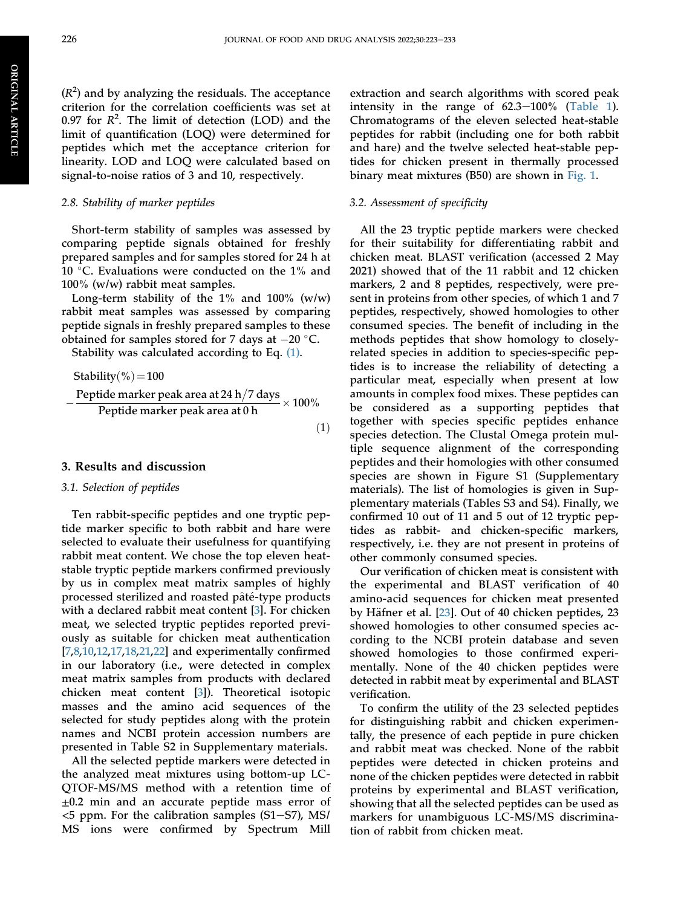$(R<sup>2</sup>)$  and by analyzing the residuals. The acceptance criterion for the correlation coefficients was set at 0.97 for  $R^2$ . The limit of detection (LOD) and the limit of quantification (LOQ) were determined for peptides which met the acceptance criterion for linearity. LOD and LOQ were calculated based on signal-to-noise ratios of 3 and 10, respectively.

### 2.8. Stability of marker peptides

Short-term stability of samples was assessed by comparing peptide signals obtained for freshly prepared samples and for samples stored for 24 h at 10  $^{\circ}$ C. Evaluations were conducted on the 1% and 100% (w/w) rabbit meat samples.

Long-term stability of the  $1\%$  and  $100\%$  (w/w) rabbit meat samples was assessed by comparing peptide signals in freshly prepared samples to these obtained for samples stored for 7 days at  $-20$  °C.

<span id="page-4-0"></span>Stability was calculated according to Eq. [\(1\)](#page-4-0).

Stabilityð%Þ ¼100 Peptide marker peak area at 24 h 7 days Peptide marker peak area at 0 h 100% ð1Þ

#### 3. Results and discussion

#### 3.1. Selection of peptides

Ten rabbit-specific peptides and one tryptic peptide marker specific to both rabbit and hare were selected to evaluate their usefulness for quantifying rabbit meat content. We chose the top eleven heatstable tryptic peptide markers confirmed previously by us in complex meat matrix samples of highly processed sterilized and roasted pâté-type products with a declared rabbit meat content [[3\]](#page-10-2). For chicken meat, we selected tryptic peptides reported previously as suitable for chicken meat authentication [\[7](#page-10-6),[8,](#page-10-7)[10](#page-10-9),[12,](#page-10-11)[17](#page-11-3)[,18](#page-11-0),[21](#page-11-4)[,22](#page-11-5)] and experimentally confirmed in our laboratory (i.e., were detected in complex meat matrix samples from products with declared chicken meat content [[3\]](#page-10-2)). Theoretical isotopic masses and the amino acid sequences of the selected for study peptides along with the protein names and NCBI protein accession numbers are presented in Table S2 in Supplementary materials.

All the selected peptide markers were detected in the analyzed meat mixtures using bottom-up LC-QTOF-MS/MS method with a retention time of  $\pm 0.2$  min and an accurate peptide mass error of  $<$ 5 ppm. For the calibration samples (S1–S7), MS/ MS ions were confirmed by Spectrum Mill extraction and search algorithms with scored peak intensity in the range of  $62.3-100\%$  [\(Table 1\)](#page-5-0). Chromatograms of the eleven selected heat-stable peptides for rabbit (including one for both rabbit and hare) and the twelve selected heat-stable peptides for chicken present in thermally processed binary meat mixtures (B50) are shown in [Fig. 1](#page-6-0).

## 3.2. Assessment of specificity

All the 23 tryptic peptide markers were checked for their suitability for differentiating rabbit and chicken meat. BLAST verification (accessed 2 May 2021) showed that of the 11 rabbit and 12 chicken markers, 2 and 8 peptides, respectively, were present in proteins from other species, of which 1 and 7 peptides, respectively, showed homologies to other consumed species. The benefit of including in the methods peptides that show homology to closelyrelated species in addition to species-specific peptides is to increase the reliability of detecting a particular meat, especially when present at low amounts in complex food mixes. These peptides can be considered as a supporting peptides that together with species specific peptides enhance species detection. The Clustal Omega protein multiple sequence alignment of the corresponding peptides and their homologies with other consumed species are shown in Figure S1 (Supplementary materials). The list of homologies is given in Supplementary materials (Tables S3 and S4). Finally, we confirmed 10 out of 11 and 5 out of 12 tryptic peptides as rabbit- and chicken-specific markers, respectively, i.e. they are not present in proteins of other commonly consumed species.

Our verification of chicken meat is consistent with the experimental and BLAST verification of 40 amino-acid sequences for chicken meat presented by Häfner et al.  $[23]$  $[23]$  $[23]$ . Out of 40 chicken peptides, 23 showed homologies to other consumed species according to the NCBI protein database and seven showed homologies to those confirmed experimentally. None of the 40 chicken peptides were detected in rabbit meat by experimental and BLAST verification.

To confirm the utility of the 23 selected peptides for distinguishing rabbit and chicken experimentally, the presence of each peptide in pure chicken and rabbit meat was checked. None of the rabbit peptides were detected in chicken proteins and none of the chicken peptides were detected in rabbit proteins by experimental and BLAST verification, showing that all the selected peptides can be used as markers for unambiguous LC-MS/MS discrimination of rabbit from chicken meat.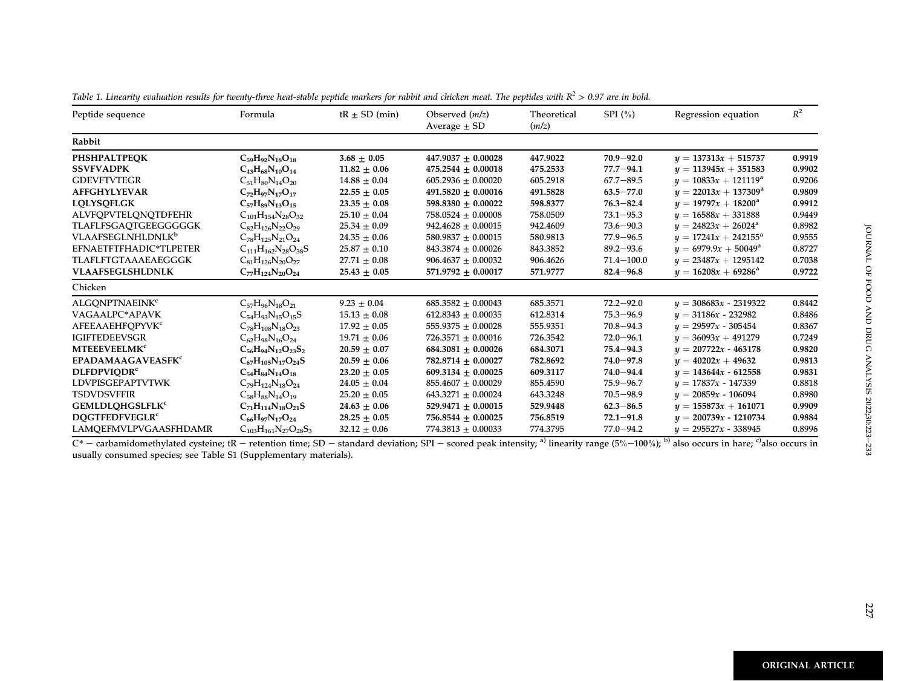| Peptide sequence                    | Formula                         | $tR \pm SD$ (min) | Observed $(m/z)$<br>Average $\pm$ SD | Theoretical<br>(m/z) | SPI $(\% )$    | Regression equation           | $R^2$  |
|-------------------------------------|---------------------------------|-------------------|--------------------------------------|----------------------|----------------|-------------------------------|--------|
| Rabbit                              |                                 |                   |                                      |                      |                |                               |        |
| <b>PHSHPALTPEOK</b>                 | $C_{59}H_{92}N_{18}O_{18}$      | $3.68 + 0.05$     | $447.9037 + 0.00028$                 | 447.9022             | $70.9 - 92.0$  | $y = 137313x + 515737$        | 0.9919 |
| <b>SSVFVADPK</b>                    | $C_{43}H_{68}N_{10}O_{14}$      | $11.82 \pm 0.06$  | $475.2544 \pm 0.00018$               | 475.2533             | $77.7 - 94.1$  | $y = 113945x + 351583$        | 0.9902 |
| <b>GDEVFTVTEGR</b>                  | $C_{51}H_{80}N_{14}O_{20}$      | $14.88 \pm 0.04$  | $605.2936 \pm 0.00020$               | 605.2918             | $67.7 - 89.5$  | $y = 10833x + 121119^a$       | 0.9206 |
| <b>AFFGHYLYEVAR</b>                 | $C_{72}H_{97}N_{17}O_{17}$      | $22.55 \pm 0.05$  | $491.5820 + 0.00016$                 | 491.5828             | $63.5 - 77.0$  | $y = 22013x + 137309^a$       | 0.9809 |
| <b>LOLYSOFLGK</b>                   | $C_{57}H_{89}N_{13}O_{15}$      | $23.35 \pm 0.08$  | 598.8380 $\pm$ 0.00022               | 598.8377             | $76.3 - 82.4$  | $y = 19797x + 18200^{\circ}$  | 0.9912 |
| <b>ALVFOPVTELONOTDFEHR</b>          | $C_{101}H_{154}N_{28}O_{32}$    | $25.10 \pm 0.04$  | $758.0524 \pm 0.00008$               | 758.0509             | $73.1 - 95.3$  | $y = 16588x + 331888$         | 0.9449 |
| TLAFLFSGAQTGEEGGGGGK                | $C_{82}H_{126}N_{22}O_{29}$     | $25.34 \pm 0.09$  | $942.4628 \pm 0.00015$               | 942.4609             | $73.6 - 90.3$  | $y = 24823x + 26024^a$        | 0.8982 |
| <b>VLAAFSEGLNHLDNLK<sup>b</sup></b> | $C_{78}H_{125}N_{21}O_{24}$     | $24.35 \pm 0.06$  | $580.9837 + 0.00015$                 | 580.9813             | $77.9 - 96.5$  | $y = 17241x + 242155^{\circ}$ | 0.9555 |
| EFNAETFTFHADIC*TLPETER              | $C_{111}H_{162}N_{28}O_{38}S$   | $25.87 \pm 0.10$  | $843.3874 \pm 0.00026$               | 843.3852             | $89.2 - 93.6$  | $y = 6979.9x + 50049^a$       | 0.8727 |
| <b>TLAFLFTGTAAAEAEGGGK</b>          | $C_{81}H_{126}N_{20}O_{27}$     | $27.71 \pm 0.08$  | $906.4637 + 0.00032$                 | 906.4626             | $71.4 - 100.0$ | $y = 23487x + 1295142$        | 0.7038 |
| <b>VLAAFSEGLSHLDNLK</b>             | $C_{77}H_{124}N_{20}O_{24}$     | $25.43 \pm 0.05$  | $571.9792 + 0.00017$                 | 571.9777             | $82.4 - 96.8$  | $y = 16208x + 69286^a$        | 0.9722 |
| Chicken                             |                                 |                   |                                      |                      |                |                               |        |
| <b>ALGONPTNAEINK<sup>c</sup></b>    | $C_{57}H_{96}N_{18}O_{21}$      | $9.23 + 0.04$     | $685.3582 + 0.00043$                 | 685.3571             | $72.2 - 92.0$  | $y = 308683x - 2319322$       | 0.8442 |
| VAGAALPC*APAVK                      | $C_{54}H_{93}N_{15}O_{15}S$     | $15.13 \pm 0.08$  | $612.8343 \pm 0.00035$               | 612.8314             | $75.3 - 96.9$  | $y = 31186x - 232982$         | 0.8486 |
| <b>AFEEAAEHFOPYVK<sup>c</sup></b>   | $C_{78}H_{108}N_{18}O_{23}$     | $17.92 \pm 0.05$  | $555.9375 + 0.00028$                 | 555.9351             | $70.8 - 94.3$  | $y = 29597x - 305454$         | 0.8367 |
| <b>IGIFTEDEEVSGR</b>                | $C_{62}H_{98}N_{16}O_{24}$      | $19.71 \pm 0.06$  | $726.3571 \pm 0.00016$               | 726.3542             | $72.0 - 96.1$  | $y = 36093x + 491279$         | 0.7249 |
| <b>MTEEEVEELMK<sup>c</sup></b>      | $C_{56}H_{94}N_{12}O_{23}S_2$   | $20.59 + 0.07$    | $684.3081 + 0.00026$                 | 684.3071             | $75.4 - 94.3$  | $y = 207722x - 463178$        | 0.9820 |
| <b>EPADAMAAGAVEASFK<sup>c</sup></b> | $C_{67}H_{105}N_{17}O_{24}S$    | $20.59 \pm 0.06$  | $782.8714 + 0.00027$                 | 782.8692             | $74.0 - 97.8$  | $y = 40202x + 49632$          | 0.9813 |
| <b>DLFDPVIODR<sup>c</sup></b>       | $C_{54}H_{84}N_{14}O_{18}$      | $23.20 \pm 0.05$  | $609.3134 + 0.00025$                 | 609.3117             | $74.0 - 94.4$  | $y = 143644x - 612558$        | 0.9831 |
| <b>LDVPISGEPAPTVTWK</b>             | $C_{79}H_{124}N_{18}O_{24}$     | $24.05 \pm 0.04$  | $855.4607 + 0.00029$                 | 855.4590             | $75.9 - 96.7$  | $y = 17837x - 147339$         | 0.8818 |
| <b>TSDVDSVFFIR</b>                  | $C_{58}H_{88}N_{14}O_{19}$      | $25.20 \pm 0.05$  | $643.3271 \pm 0.00024$               | 643.3248             | $70.5 - 98.9$  | $y = 20859x - 106094$         | 0.8980 |
| <b>GEMLDLQHGSLFLK<sup>c</sup></b>   | $C_{71}H_{114}N_{18}O_{21}S$    | $24.63 \pm 0.06$  | $529.9471 + 0.00015$                 | 529.9448             | $62.3 - 86.5$  | $y = 155873x + 161071$        | 0.9909 |
| <b>DOGTFEDFVEGLR<sup>c</sup></b>    | $C_{66}H_{97}N_{17}O_{24}$      | $28.25 + 0.05$    | 756.8544 $\pm$ 0.00025               | 756.8519             | $72.1 - 91.8$  | $y = 200739x - 1210734$       | 0.9884 |
| LAMOEFMVLPVGAASFHDAMR               | $C_{103}H_{161}N_{27}O_{28}S_3$ | $32.12 \pm 0.06$  | $774.3813 \pm 0.00033$               | 774.3795             | $77.0 - 94.2$  | $y = 295527x - 338945$        | 0.8996 |

<span id="page-5-0"></span>Table 1. Linearity evaluation results for twenty-three heat-stable peptide markers for rabbit and chicken meat. The peptides with  $R^2 > 0.97$  are in bold.

 $\overline{C^*}$  – carbamidomethylated cysteine; tR – retention time; SD – standard deviation; SPI – scored peak intensity; <sup>a)</sup> linearity range (5%–100%); <sup>b)</sup> also occurs in hare; <sup>c)</sup>also occurs in usually consumed species; see Table S1 (Supplementary materials).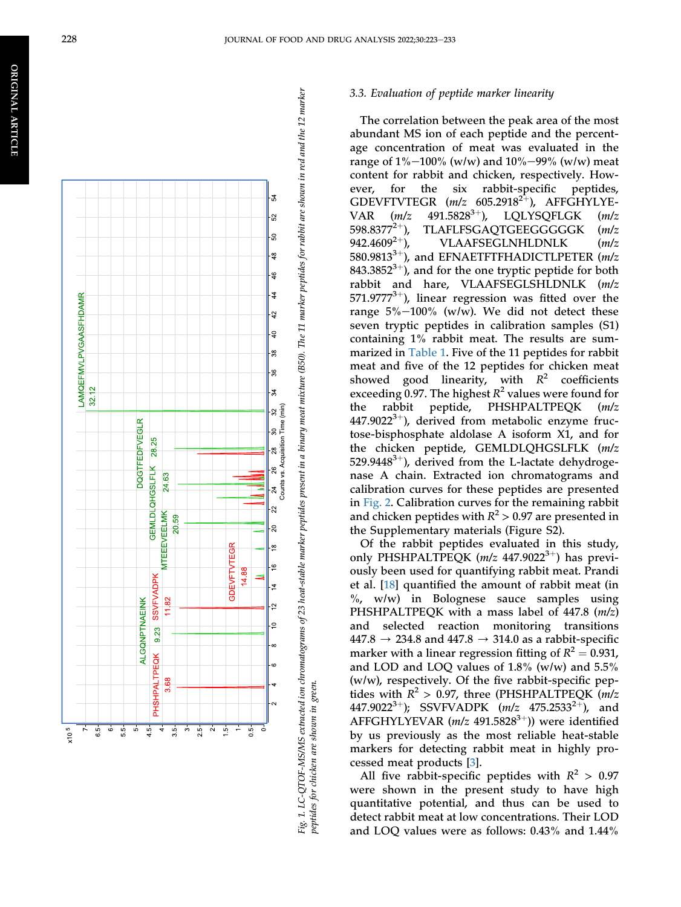<span id="page-6-0"></span>

#### 3.3. Evaluation of peptide marker linearity

The correlation between the peak area of the most abundant MS ion of each peptide and the percentage concentration of meat was evaluated in the range of  $1\%$ –100% (w/w) and  $10\%$ –99% (w/w) meat content for rabbit and chicken, respectively. However, for the six rabbit-specific peptides, GDEVFTVTEGR  $(m/z \ 605.2918^{2+})$ , AFFGHYLYE-VAR  $(m/z \quad 491.5828^{3+})$ , LQLYSQFLGK  $(m/z \quad 191.5828^{3+})$ 598.8377 2 þ), TLAFLFSGAQTGEEGGGGGK (m/z 942.4609 2 þ), VLAAFSEGLNHLDNLK (m/z 580.9813<sup>3+</sup>), and EFNAETFTFHADICTLPETER  $(m/z)$ 843.3852 $3+$ ), and for the one tryptic peptide for both rabbit and hare, VLAAFSEGLSHLDNLK (m/z  $571.9777^{3+}$ ), linear regression was fitted over the range  $5\% - 100\%$  (w/w). We did not detect these seven tryptic peptides in calibration samples (S1) containing 1% rabbit meat. The results are summarized in [Table 1](#page-5-0). Five of the 11 peptides for rabbit meat and five of the 12 peptides for chicken meat showed good linearity, with  $R^2$  coefficients exceeding 0.97. The highest  $R^2$  values were found for the rabbit peptide, PHSHPALTPEQK (m/z  $447.9022^{3+}$ ), derived from metabolic enzyme fructose-bisphosphate aldolase A isoform X1, and for the chicken peptide, GEMLDLQHGSLFLK (m/z 529.9448<sup>3+</sup>), derived from the L-lactate dehydrogenase A chain. Extracted ion chromatograms and calibration curves for these peptides are presented in [Fig. 2.](#page-7-0) Calibration curves for the remaining rabbit and chicken peptides with  $R^2 > 0.97$  are presented in the Supplementary materials (Figure S2).

Of the rabbit peptides evaluated in this study, only PHSHPALTPEQK  $(m/z 447.9022^{3+})$  has previously been used for quantifying rabbit meat. Prandi et al. [[18\]](#page-11-0) quanti fied the amount of rabbit meat (in  $\%$ , w/w) in Bolognese sauce samples using PHSHPALTPEQK with a mass label of  $447.8$  ( $m/z$ ) and selected reaction monitoring transitions  $447.8 \rightarrow 234.8$  and  $447.8 \rightarrow 314.0$  as a rabbit-specific marker with a linear regression fitting of  $R^2 = 0.931$ , and LOD and LOQ values of 1.8% (w/w) and 5.5% (w/w), respectively. Of the five rabbit-speci fic peptides with  $R^2 > 0.97$ , three (PHSHPALTPEQK (m/z 447.9022<sup>3+</sup>); SSVFVADPK  $(m/z \ 475.2533^{2+})$ , and AFFGHYLYEVAR  $(m/z\ 491.5828^{3+})$ ) were identified by us previously as the most reliable heat-stable markers for detecting rabbit meat in highly processed meat products [\[3](#page-10-2)].

All five rabbit-specific peptides with  $R^2 > 0.97$ were shown in the present study to have high quantitative potential, and thus can be used to detect rabbit meat at low concentrations. Their LOD and LOQ values were as follows: 0.43% and 1.44%

peptides for chicken are shown in green.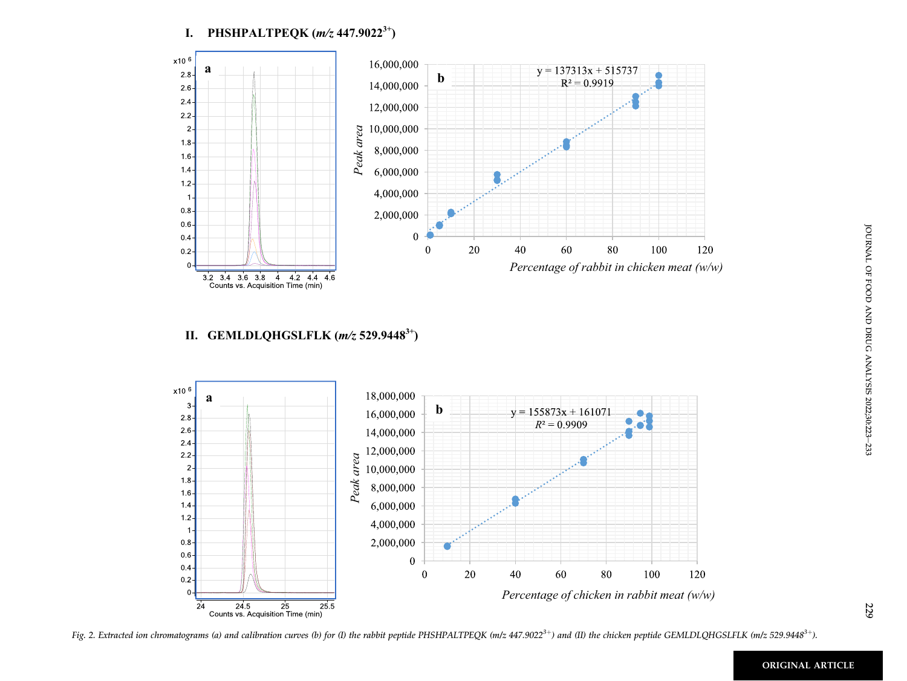**I. PHSHPALTPEQK (***m/z* **447.90223+)**

<span id="page-7-0"></span>

# **II. GEMLDLQHGSLFLK (***m/z* **529.94483+)**



Fig. 2. Extracted ion chromatograms (a) and calibration curves (b) for (I) the rabbit peptide PHSHPALTPEQK (m/z  $447.9022^{3+}$ ) and (II) the chicken peptide GEMLDLQHGSLFLK (m/z 529.9448<sup>3+</sup>).

229

ORIGINAL ARTICLE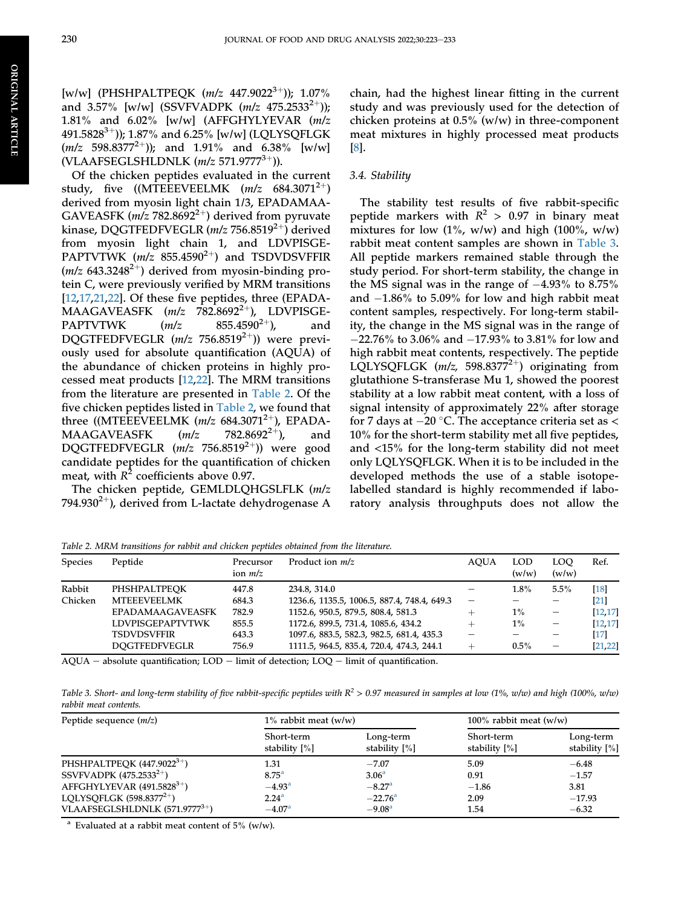[w/w] (PHSHPALTPEOK  $(m/z 447.9022^{3+})$ ); 1.07% and 3.57% [w/w] (SSVFVADPK  $(m/z 475.2533^{2+})$ ); 1.81% and 6.02% [w/w] (AFFGHYLYEVAR (m/z 491.5828<sup>3+</sup>)); 1.87% and 6.25% [w/w] (LQLYSQFLGK  $(m/z \ 598.8377^{2+})$ ; and 1.91% and 6.38% [w/w] (VLAAFSEGLSHLDNLK  $(m/z 571.9777^{3+})$ ).

Of the chicken peptides evaluated in the current study, five  $((MTEEVEELMK (m/z 684.3071<sup>2+</sup>))$ derived from myosin light chain 1/3, EPADAMAA-GAVEASFK ( $m/z$  782.8692<sup>2+</sup>) derived from pyruvate kinase, DQGTFEDFVEGLR  $(m/z 756.8519^{2+})$  derived from myosin light chain 1, and LDVPISGE-PAPTVTWK  $(m/z \ 855.4590^{2+})$  and TSDVDSVFFIR  $(m/z 643.3248^{2+})$  derived from myosin-binding protein C, were previously verified by MRM transitions [\[12](#page-10-11),[17,](#page-11-3)[21](#page-11-4),[22](#page-11-5)]. Of these five peptides, three (EPADA-MAAGAVEASFK  $(m/z$  782.8692<sup>2+</sup>), LDVPISGE-PAPTVTWK  $(m/z \ 855.4590^{2+})$ , and DQGTFEDFVEGLR  $(m/z$  756.8519<sup>2+</sup>)) were previously used for absolute quantification (AQUA) of the abundance of chicken proteins in highly processed meat products [\[12](#page-10-11),[22\]](#page-11-5). The MRM transitions from the literature are presented in [Table 2](#page-8-0). Of the five chicken peptides listed in [Table 2,](#page-8-0) we found that three ((MTEEEVEELMK  $(m/z \ 684.3071^{2+})$ , EPADA-MAAGAVEASFK  $(m/z \ 782.8692^{2+})$ , and MAAGAVEASFK  $(m/z$  782.8692<sup>2+</sup>), and DQGTFEDFVEGLR  $(m/z \ 756.8519^{2+})$ ) were good candidate peptides for the quantification of chicken meat, with  $R^2$  coefficients above 0.97.

The chicken peptide, GEMLDLQHGSLFLK (m/z 794.930<sup>2+</sup>), derived from L-lactate dehydrogenase A

chain, had the highest linear fitting in the current study and was previously used for the detection of chicken proteins at 0.5% (w/w) in three-component meat mixtures in highly processed meat products [\[8](#page-10-7)].

# 3.4. Stability

The stability test results of five rabbit-specific peptide markers with  $R^2 > 0.97$  in binary meat mixtures for low  $(1\%$ , w/w) and high  $(100\%$ , w/w) rabbit meat content samples are shown in [Table 3.](#page-8-1) All peptide markers remained stable through the study period. For short-term stability, the change in the MS signal was in the range of  $-4.93\%$  to 8.75% and  $-1.86\%$  to 5.09% for low and high rabbit meat content samples, respectively. For long-term stability, the change in the MS signal was in the range of  $-22.76\%$  to 3.06% and  $-17.93\%$  to 3.81% for low and high rabbit meat contents, respectively. The peptide LQLYSQFLGK ( $m/z$ , 598.8377<sup>2+</sup>) originating from glutathione S-transferase Mu 1, showed the poorest stability at a low rabbit meat content, with a loss of signal intensity of approximately 22% after storage for 7 days at  $-20$  °C. The acceptance criteria set as < 10% for the short-term stability met all five peptides, and <15% for the long-term stability did not meet only LQLYSQFLGK. When it is to be included in the developed methods the use of a stable isotopelabelled standard is highly recommended if laboratory analysis throughputs does not allow the

<span id="page-8-0"></span>Table 2. MRM transitions for rabbit and chicken peptides obtained from the literature.

| <b>Species</b> | Peptide                 | Precursor<br>ion $m/z$ | Product ion $m/z$                           | <b>AOUA</b> | <b>LOD</b><br>(w/w) | LOO<br>(w/w)             | Ref.              |
|----------------|-------------------------|------------------------|---------------------------------------------|-------------|---------------------|--------------------------|-------------------|
| Rabbit         | PHSHPALTPEOK            | 447.8                  | 234.8, 314.0                                |             | 1.8%                | 5.5%                     | $[18]$            |
| Chicken        | <b>MTEEEVEELMK</b>      | 684.3                  | 1236.6, 1135.5, 1006.5, 887.4, 748.4, 649.3 |             |                     | $\overline{\phantom{0}}$ | $\left[21\right]$ |
|                | <b>EPADAMAAGAVEASFK</b> | 782.9                  | 1152.6, 950.5, 879.5, 808.4, 581.3          |             | $1\%$               |                          | [12, 17]          |
|                | <b>LDVPISGEPAPTVTWK</b> | 855.5                  | 1172.6, 899.5, 731.4, 1085.6, 434.2         |             | $1\%$               | $\qquad \qquad -$        | [12, 17]          |
|                | <b>TSDVDSVFFIR</b>      | 643.3                  | 1097.6, 883.5, 582.3, 982.5, 681.4, 435.3   |             |                     |                          | [17]              |
|                | <b>DOGTFEDFVEGLR</b>    | 756.9                  | 1111.5, 964.5, 835.4, 720.4, 474.3, 244.1   |             | $0.5\%$             |                          | [21, 22]          |

 $AQUA - absolute \; quantification; \; LOD - limit \; of \; detection; \; LOQ - limit \; of \; quantification.$ 

<span id="page-8-1"></span>Table 3. Short- and long-term stability of five rabbit-specific peptides with  $R^2 > 0.97$  measured in samples at low (1%, w/w) and high (100%, w/w) rabbit meat contents.

| Peptide sequence $(m/z)$                   | $1\%$ rabbit meat (w/w)        |                            | 100% rabbit meat $(w/w)$       |                            |  |
|--------------------------------------------|--------------------------------|----------------------------|--------------------------------|----------------------------|--|
|                                            | Short-term<br>stability $[\%]$ | Long-term<br>stability [%] | Short-term<br>stability $[\%]$ | Long-term<br>stability [%] |  |
| PHSHPALTPEQK $(447.9022^{3+})$             | 1.31                           | $-7.07$                    | 5.09                           | $-6.48$                    |  |
| SSVFVADPK $(475.2533^{2+})$                | 8.75 <sup>a</sup>              | 3.06 <sup>a</sup>          | 0.91                           | $-1.57$                    |  |
| AFFGHYLYEVAR $(491.5828^{3+})$             | $-4.93^{\rm a}$                | $-8.27$ <sup>a</sup>       | $-1.86$                        | 3.81                       |  |
| LQLYSQFLGK $(598.8377^{2+})$               | 2.24 <sup>a</sup>              | $-22.76^{\circ}$           | 2.09                           | $-17.93$                   |  |
| VLAAFSEGLSHLDNLK (571.9777 <sup>3+</sup> ) | $-4.07a$                       | $-9.08a$                   | 1.54                           | $-6.32$                    |  |

<span id="page-8-2"></span><sup>a</sup> Evaluated at a rabbit meat content of  $5\%$  (w/w).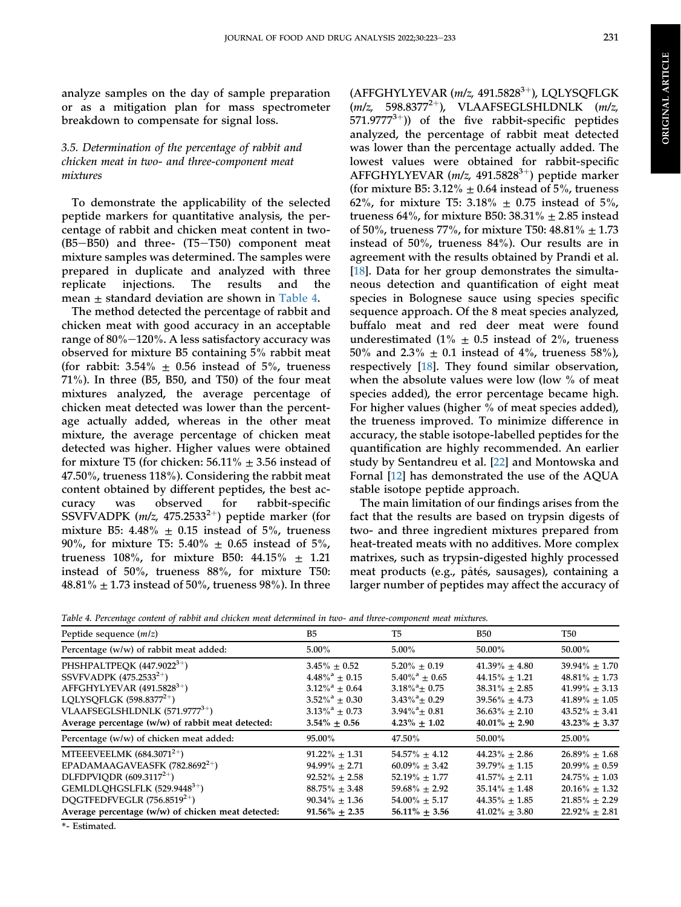**ORIGINAL ARTICLE** ORIGINAL ARTICLE

analyze samples on the day of sample preparation or as a mitigation plan for mass spectrometer breakdown to compensate for signal loss.

# 3.5. Determination of the percentage of rabbit and chicken meat in two- and three-component meat mixtures

To demonstrate the applicability of the selected peptide markers for quantitative analysis, the percentage of rabbit and chicken meat content in two-  $(B5 - B50)$  and three-  $(T5 - T50)$  component meat mixture samples was determined. The samples were prepared in duplicate and analyzed with three replicate injections. The results and the mean  $\pm$  standard deviation are shown in [Table 4.](#page-9-0)

The method detected the percentage of rabbit and chicken meat with good accuracy in an acceptable range of  $80\% - 120\%$ . A less satisfactory accuracy was observed for mixture B5 containing 5% rabbit meat (for rabbit:  $3.54\% \pm 0.56$  instead of 5%, trueness 71%). In three (B5, B50, and T50) of the four meat mixtures analyzed, the average percentage of chicken meat detected was lower than the percentage actually added, whereas in the other meat mixture, the average percentage of chicken meat detected was higher. Higher values were obtained for mixture T5 (for chicken:  $56.11\% \pm 3.56$  instead of 47.50%, trueness 118%). Considering the rabbit meat content obtained by different peptides, the best accuracy was observed for rabbit-specific SSVFVADPK ( $m/z$ , 475.2533<sup>2+</sup>) peptide marker (for mixture B5:  $4.48\% \pm 0.15$  instead of 5%, trueness 90%, for mixture T5: 5.40%  $\pm$  0.65 instead of 5%, trueness 108%, for mixture B50:  $44.15\% \pm 1.21$ instead of 50%, trueness 88%, for mixture T50: 48.81%  $\pm$  1.73 instead of 50%, trueness 98%). In three

(AFFGHYLYEVAR  $(m/z, 491.5828^{3+})$ , LOLYSOFLGK  $(m/z, 598.8377^{2+})$ , VLAAFSEGLSHLDNLK  $(m/z,$ 571.9777<sup>3+</sup>)) of the five rabbit-specific peptides analyzed, the percentage of rabbit meat detected was lower than the percentage actually added. The lowest values were obtained for rabbit-specific AFFGHYLYEVAR  $(m/z, 491.5828^{3+})$  peptide marker (for mixture B5: 3.12%  $\pm$  0.64 instead of 5%, trueness 62%, for mixture T5: 3.18%  $\pm$  0.75 instead of 5%, trueness 64%, for mixture B50: 38.31%  $\pm$  2.85 instead of 50%, trueness 77%, for mixture T50: 48.81%  $\pm$  1.73 instead of 50%, trueness 84%). Our results are in agreement with the results obtained by Prandi et al. [\[18](#page-11-0)]. Data for her group demonstrates the simultaneous detection and quantification of eight meat species in Bolognese sauce using species specific sequence approach. Of the 8 meat species analyzed, buffalo meat and red deer meat were found underestimated (1%  $\pm$  0.5 instead of 2%, trueness 50% and 2.3%  $\pm$  0.1 instead of 4%, trueness 58%), respectively [[18\]](#page-11-0). They found similar observation, when the absolute values were low (low % of meat species added), the error percentage became high. For higher values (higher % of meat species added), the trueness improved. To minimize difference in accuracy, the stable isotope-labelled peptides for the quantification are highly recommended. An earlier study by Sentandreu et al. [[22\]](#page-11-5) and Montowska and Fornal [[12\]](#page-10-11) has demonstrated the use of the AQUA stable isotope peptide approach.

The main limitation of our findings arises from the fact that the results are based on trypsin digests of two- and three ingredient mixtures prepared from heat-treated meats with no additives. More complex matrixes, such as trypsin-digested highly processed meat products (e.g., pâtés, sausages), containing a larger number of peptides may affect the accuracy of

<span id="page-9-0"></span>

|  |  |  |  |  |  |  |  |  | Table 4. Percentage content of rabbit and chicken meat determined in two- and three-component meat mixtures. |
|--|--|--|--|--|--|--|--|--|--------------------------------------------------------------------------------------------------------------|
|--|--|--|--|--|--|--|--|--|--------------------------------------------------------------------------------------------------------------|

| Peptide sequence $(m/z)$                           | B <sub>5</sub>               | T <sub>5</sub>               | <b>B50</b>         | <b>T50</b>         |  |
|----------------------------------------------------|------------------------------|------------------------------|--------------------|--------------------|--|
| Percentage (w/w) of rabbit meat added:             | $5.00\%$                     | $5.00\%$                     | 50.00%             | 50.00%             |  |
| PHSHPALTPEOK $(447.9022^{3+})$                     | $3.45\% + 0.52$              | $5.20\% + 0.19$              | $41.39\% + 4.80$   | $39.94\% \pm 1.70$ |  |
| SSVFVADPK $(475.2533^{2+})$                        | $4.48\%$ <sup>a</sup> + 0.15 | $5.40\%$ <sup>a</sup> + 0.65 | $44.15% + 1.21$    | $48.81\% \pm 1.73$ |  |
| AFFGHYLYEVAR $(491.5828^{3+})$                     | $3.12\%$ <sup>a</sup> ± 0.64 | $3.18\%$ <sup>a</sup> ± 0.75 | $38.31\% \pm 2.85$ | $41.99\% \pm 3.13$ |  |
| LOLYSOFLGK $(598.8377^{2+})$                       | $3.52\%$ <sup>a</sup> + 0.30 | $3.43\%^{\mathrm{a}} + 0.29$ | $39.56\% \pm 4.73$ | $41.89\% + 1.05$   |  |
| VLAAFSEGLSHLDNLK $(571.9777^{3+})$                 | $3.13\%$ <sup>a</sup> ± 0.73 | $3.94\%$ <sup>a</sup> ± 0.81 | $36.63\% \pm 2.10$ | $43.52\% \pm 3.41$ |  |
| Average percentage (w/w) of rabbit meat detected:  | $3.54\% + 0.56$              | $4.23\% + 1.02$              | $40.01\% + 2.90$   | $43.23\% + 3.37$   |  |
| Percentage (w/w) of chicken meat added:            | 95.00%                       | 47.50%                       | 50.00%             | 25.00%             |  |
| MTEEEVEELMK $(684.3071^{2+})$                      | $91.22\% \pm 1.31$           | $54.57\% \pm 4.12$           | $44.23\% \pm 2.86$ | $26.89\% \pm 1.68$ |  |
| EPADAMAAGAVEASFK (782.8692 <sup>2+</sup> )         | $94.99\% \pm 2.71$           | $60.09\% \pm 3.42$           | $39.79\% \pm 1.15$ | $20.99\% \pm 0.59$ |  |
| DLFDPVIODR $(609.3117^{2+})$                       | $92.52\% + 2.58$             | $52.19\% + 1.77$             | $41.57\% + 2.11$   | $24.75\% \pm 1.03$ |  |
| GEMLDLOHGSLFLK $(529.9448^{3+})$                   | $88.75\% \pm 3.48$           | $59.68\% \pm 2.92$           | $35.14\% \pm 1.48$ | $20.16\% \pm 1.32$ |  |
| DOGTFEDFVEGLR $(756.8519^{2+})$                    | $90.34\% + 1.36$             | $54.00\% + 5.17$             | $44.35\% + 1.85$   | $21.85\% + 2.29$   |  |
| Average percentage (w/w) of chicken meat detected: | $91.56\% + 2.35$             | $56.11\% + 3.56$             | $41.02\% \pm 3.80$ | $22.92\% \pm 2.81$ |  |

\*- Estimated.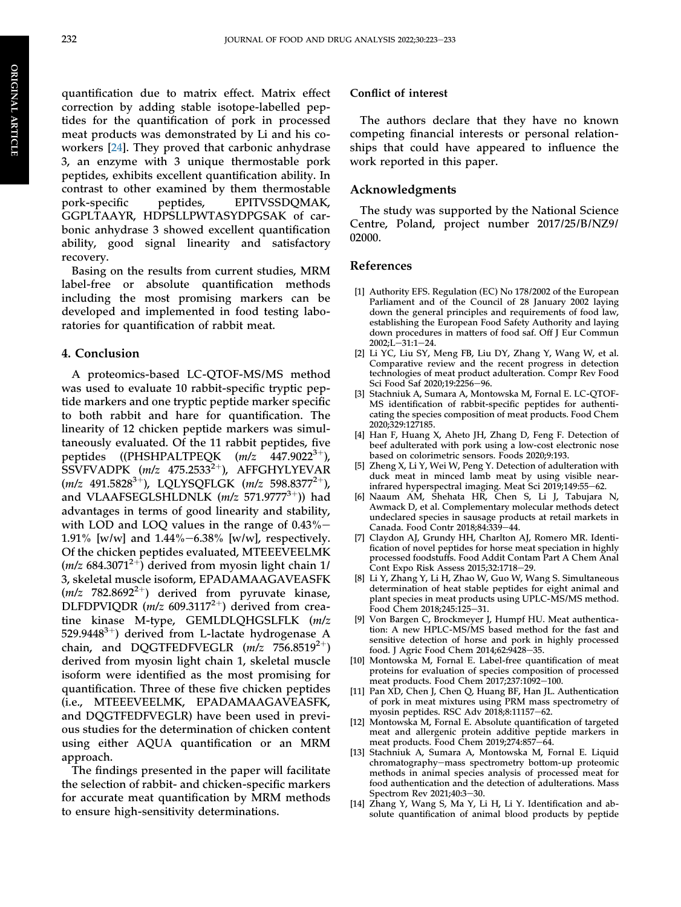quantification due to matrix effect. Matrix effect correction by adding stable isotope-labelled peptides for the quantification of pork in processed meat products was demonstrated by Li and his coworkers [\[24](#page-11-7)]. They proved that carbonic anhydrase 3, an enzyme with 3 unique thermostable pork peptides, exhibits excellent quantification ability. In contrast to other examined by them thermostable pork-specific peptides, EPITVSSDQMAK, GGPLTAAYR, HDPSLLPWTASYDPGSAK of carbonic anhydrase 3 showed excellent quantification ability, good signal linearity and satisfactory recovery.

Basing on the results from current studies, MRM label-free or absolute quantification methods including the most promising markers can be developed and implemented in food testing laboratories for quantification of rabbit meat.

## 4. Conclusion

A proteomics-based LC-QTOF-MS/MS method was used to evaluate 10 rabbit-specific tryptic peptide markers and one tryptic peptide marker specific to both rabbit and hare for quantification. The linearity of 12 chicken peptide markers was simultaneously evaluated. Of the 11 rabbit peptides, five peptides ((PHSHPALTPEQK  $(m/z \ 447.9022^{3+})$ ), SSVFVADPK  $(m/z$  475.2533<sup>2+</sup>), AFFGHYLYEVAR  $(m/z \ 491.5828^{3+})$ , LOLYSOFLGK  $(m/z \ 598.8377^{2+})$ , and VLAAFSEGLSHLDNLK  $(m/z 571.9777^{3+}))$  had advantages in terms of good linearity and stability, with LOD and LOQ values in the range of  $0.43\%$  – 1.91% [w/w] and  $1.44\% - 6.38\%$  [w/w], respectively. Of the chicken peptides evaluated, MTEEEVEELMK  $(m/z 684.3071^{2+})$  derived from myosin light chain 1/ 3, skeletal muscle isoform, EPADAMAAGAVEASFK  $(m/z$  782.8692<sup>2+</sup>) derived from pyruvate kinase, DLFDPVIQDR  $(m/z\ 609.3117^{2+})$  derived from creatine kinase M-type, GEMLDLQHGSLFLK (m/z 529.9448<sup>3+</sup>) derived from L-lactate hydrogenase A chain, and DQGTFEDFVEGLR  $(m/z)$  756.8519<sup>2+</sup>) derived from myosin light chain 1, skeletal muscle isoform were identified as the most promising for quantification. Three of these five chicken peptides (i.e., MTEEEVEELMK, EPADAMAAGAVEASFK, and DQGTFEDFVEGLR) have been used in previous studies for the determination of chicken content using either AQUA quantification or an MRM approach.

The findings presented in the paper will facilitate the selection of rabbit- and chicken-specific markers for accurate meat quantification by MRM methods to ensure high-sensitivity determinations.

#### Conflict of interest

The authors declare that they have no known competing financial interests or personal relationships that could have appeared to influence the work reported in this paper.

### Acknowledgments

The study was supported by the National Science Centre, Poland, project number 2017/25/B/NZ9/ 02000.

## References

- <span id="page-10-0"></span>[1] Authority EFS. Regulation (EC) No 178/2002 of the European Parliament and of the Council of 28 January 2002 laying down the general principles and requirements of food law, establishing the European Food Safety Authority and laying down procedures in matters of food saf. Off J Eur Commun 2002;L-31:1-24.
- <span id="page-10-1"></span>[2] Li YC, Liu SY, Meng FB, Liu DY, Zhang Y, Wang W, et al. Comparative review and the recent progress in detection technologies of meat product adulteration. Compr Rev Food Sci Food Saf 2020;19:2256-96.
- <span id="page-10-2"></span>[3] Stachniuk A, Sumara A, Montowska M, Fornal E. LC-QTOF-MS identification of rabbit-specific peptides for authenticating the species composition of meat products. Food Chem 2020;329:127185.
- <span id="page-10-3"></span>[4] Han F, Huang X, Aheto JH, Zhang D, Feng F. Detection of beef adulterated with pork using a low-cost electronic nose based on colorimetric sensors. Foods 2020;9:193.
- <span id="page-10-4"></span>[5] Zheng X, Li Y, Wei W, Peng Y. Detection of adulteration with duck meat in minced lamb meat by using visible nearinfrared hyperspectral imaging. Meat Sci 2019;149:55-62.
- <span id="page-10-5"></span>[6] Naaum AM, Shehata HR, Chen S, Li J, Tabujara N, Awmack D, et al. Complementary molecular methods detect undeclared species in sausage products at retail markets in Canada. Food Contr 2018;84:339-44.
- <span id="page-10-6"></span>[7] Claydon AJ, Grundy HH, Charlton AJ, Romero MR. Identification of novel peptides for horse meat speciation in highly processed foodstuffs. Food Addit Contam Part A Chem Anal Cont Expo Risk Assess 2015;32:1718-29.
- <span id="page-10-7"></span>[8] Li Y, Zhang Y, Li H, Zhao W, Guo W, Wang S. Simultaneous determination of heat stable peptides for eight animal and plant species in meat products using UPLC-MS/MS method. Food Chem 2018;245:125-31.
- <span id="page-10-8"></span>[9] Von Bargen C, Brockmeyer J, Humpf HU. Meat authentication: A new HPLC-MS/MS based method for the fast and sensitive detection of horse and pork in highly processed food. J Agric Food Chem 2014;62:9428-35.
- <span id="page-10-9"></span>[10] Montowska M, Fornal E. Label-free quantification of meat proteins for evaluation of species composition of processed meat products. Food Chem 2017;237:1092-100.
- <span id="page-10-10"></span>[11] Pan XD, Chen J, Chen Q, Huang BF, Han JL. Authentication of pork in meat mixtures using PRM mass spectrometry of myosin peptides. RSC Adv 2018;8:11157-62.
- <span id="page-10-11"></span>[12] Montowska M, Fornal E. Absolute quantification of targeted meat and allergenic protein additive peptide markers in meat products. Food Chem 2019;274:857-64.
- <span id="page-10-12"></span>[13] Stachniuk A, Sumara A, Montowska M, Fornal E. Liquid chromatography-mass spectrometry bottom-up proteomic methods in animal species analysis of processed meat for food authentication and the detection of adulterations. Mass Spectrom Rev 2021;40:3-30.
- <span id="page-10-13"></span>[14] Zhang Y, Wang S, Ma Y, Li H, Li Y. Identification and absolute quantification of animal blood products by peptide